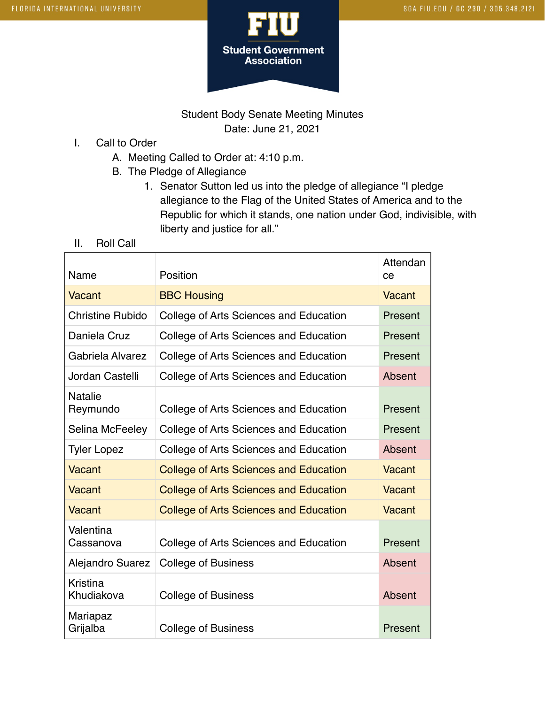

Student Body Senate Meeting Minutes Date: June 21, 2021

- I. Call to Order
	- A. Meeting Called to Order at: 4:10 p.m.
	- B. The Pledge of Allegiance
		- 1. Senator Sutton led us into the pledge of allegiance "I pledge allegiance to the Flag of the United States of America and to the Republic for which it stands, one nation under God, indivisible, with liberty and justice for all."
- II. Roll Call

| Name                       | Position                                      | Attendan<br>ce |
|----------------------------|-----------------------------------------------|----------------|
| Vacant                     | <b>BBC Housing</b>                            | <b>Vacant</b>  |
| Christine Rubido           | College of Arts Sciences and Education        | Present        |
| Daniela Cruz               | College of Arts Sciences and Education        | Present        |
| Gabriela Alvarez           | College of Arts Sciences and Education        | Present        |
| Jordan Castelli            | College of Arts Sciences and Education        | Absent         |
| <b>Natalie</b><br>Reymundo | College of Arts Sciences and Education        | Present        |
| Selina McFeeley            | College of Arts Sciences and Education        | Present        |
| <b>Tyler Lopez</b>         | College of Arts Sciences and Education        | Absent         |
| Vacant                     | <b>College of Arts Sciences and Education</b> | <b>Vacant</b>  |
| Vacant                     | <b>College of Arts Sciences and Education</b> | Vacant         |
| Vacant                     | <b>College of Arts Sciences and Education</b> | Vacant         |
| Valentina<br>Cassanova     | College of Arts Sciences and Education        | Present        |
| Alejandro Suarez           | <b>College of Business</b>                    | Absent         |
| Kristina<br>Khudiakova     | <b>College of Business</b>                    | Absent         |
| Mariapaz<br>Grijalba       | <b>College of Business</b>                    | Present        |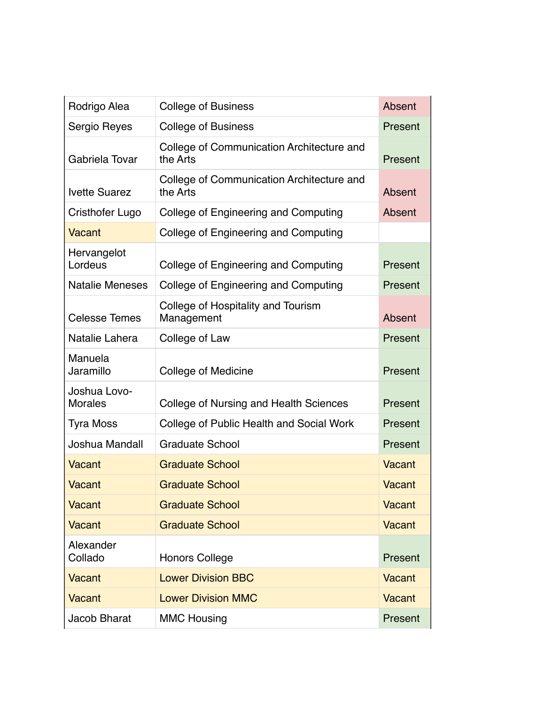| Rodrigo Alea                   | <b>College of Business</b>                            | Absent        |
|--------------------------------|-------------------------------------------------------|---------------|
| Sergio Reyes                   | <b>College of Business</b>                            | Present       |
| Gabriela Tovar                 | College of Communication Architecture and<br>the Arts | Present       |
| <b>Ivette Suarez</b>           | College of Communication Architecture and<br>the Arts | Absent        |
| Cristhofer Lugo                | College of Engineering and Computing                  | Absent        |
| <b>Vacant</b>                  | College of Engineering and Computing                  |               |
| Hervangelot<br>Lordeus         | College of Engineering and Computing                  | Present       |
| <b>Natalie Meneses</b>         | College of Engineering and Computing                  | Present       |
| <b>Celesse Temes</b>           | College of Hospitality and Tourism<br>Management      | Absent        |
| Natalie Lahera                 | College of Law                                        | Present       |
| Manuela<br>Jaramillo           | <b>College of Medicine</b>                            | Present       |
| Joshua Lovo-<br><b>Morales</b> | College of Nursing and Health Sciences                | Present       |
| <b>Tyra Moss</b>               | College of Public Health and Social Work              | Present       |
| Joshua Mandall                 | <b>Graduate School</b>                                | Present       |
| <b>Vacant</b>                  | <b>Graduate School</b>                                | Vacant        |
| <b>Vacant</b>                  | <b>Graduate School</b>                                | Vacant        |
| <b>Vacant</b>                  | <b>Graduate School</b>                                | <b>Vacant</b> |
| <b>Vacant</b>                  | <b>Graduate School</b>                                | Vacant        |
| Alexander<br>Collado           | <b>Honors College</b>                                 | Present       |
| <b>Vacant</b>                  | <b>Lower Division BBC</b>                             | <b>Vacant</b> |
| <b>Vacant</b>                  | <b>Lower Division MMC</b>                             | Vacant        |
| Jacob Bharat                   | <b>MMC Housing</b>                                    | Present       |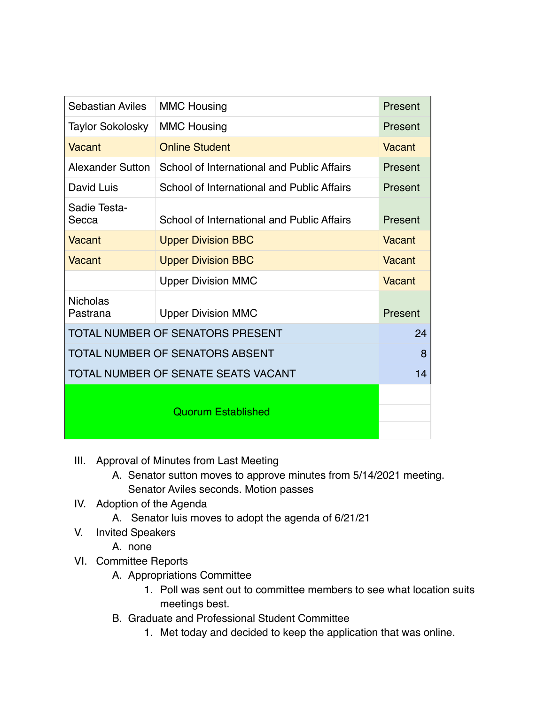| Sebastian Aviles                       | <b>MMC Housing</b>                         | Present |
|----------------------------------------|--------------------------------------------|---------|
| <b>Taylor Sokolosky</b>                | <b>MMC Housing</b>                         | Present |
| Vacant                                 | <b>Online Student</b>                      | Vacant  |
| <b>Alexander Sutton</b>                | School of International and Public Affairs | Present |
| David Luis                             | School of International and Public Affairs | Present |
| Sadie Testa-<br>Secca                  | School of International and Public Affairs | Present |
| Vacant                                 | <b>Upper Division BBC</b>                  | Vacant  |
| Vacant                                 | <b>Upper Division BBC</b>                  | Vacant  |
|                                        | <b>Upper Division MMC</b>                  | Vacant  |
| <b>Nicholas</b><br>Pastrana            | <b>Upper Division MMC</b>                  | Present |
| TOTAL NUMBER OF SENATORS PRESENT       |                                            |         |
| <b>TOTAL NUMBER OF SENATORS ABSENT</b> |                                            |         |
| TOTAL NUMBER OF SENATE SEATS VACANT    |                                            |         |
|                                        |                                            |         |
| <b>Quorum Established</b>              |                                            |         |
|                                        |                                            |         |

- III. Approval of Minutes from Last Meeting
	- A. Senator sutton moves to approve minutes from 5/14/2021 meeting. Senator Aviles seconds. Motion passes
- IV. Adoption of the Agenda
	- A. Senator luis moves to adopt the agenda of 6/21/21
- V. Invited Speakers
	- A. none
- VI. Committee Reports
	- A. Appropriations Committee
		- 1. Poll was sent out to committee members to see what location suits meetings best.
	- B. Graduate and Professional Student Committee
		- 1. Met today and decided to keep the application that was online.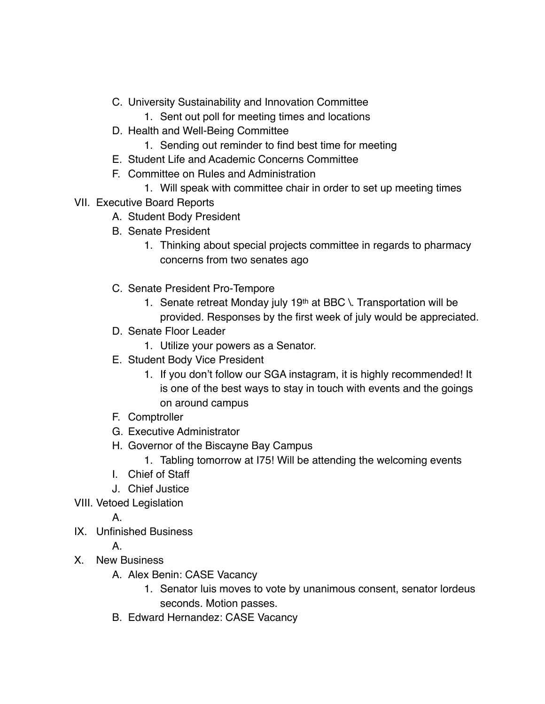- C. University Sustainability and Innovation Committee
	- 1. Sent out poll for meeting times and locations
- D. Health and Well-Being Committee
	- 1. Sending out reminder to find best time for meeting
- E. Student Life and Academic Concerns Committee
- F. Committee on Rules and Administration
	- 1. Will speak with committee chair in order to set up meeting times
- VII. Executive Board Reports
	- A. Student Body President
	- B. Senate President
		- 1. Thinking about special projects committee in regards to pharmacy concerns from two senates ago
	- C. Senate President Pro-Tempore
		- 1. Senate retreat Monday july 19th at BBC  $\setminus$ . Transportation will be provided. Responses by the first week of july would be appreciated.
	- D. Senate Floor Leader
		- 1. Utilize your powers as a Senator.
	- E. Student Body Vice President
		- 1. If you don't follow our SGA instagram, it is highly recommended! It is one of the best ways to stay in touch with events and the goings on around campus
	- F. Comptroller
	- G. Executive Administrator
	- H. Governor of the Biscayne Bay Campus
		- 1. Tabling tomorrow at I75! Will be attending the welcoming events
	- I. Chief of Staff
	- J. Chief Justice
- VIII. Vetoed Legislation

A.

IX. Unfinished Business

A.

- X. New Business
	- A. Alex Benin: CASE Vacancy
		- 1. Senator luis moves to vote by unanimous consent, senator lordeus seconds. Motion passes.
	- B. Edward Hernandez: CASE Vacancy